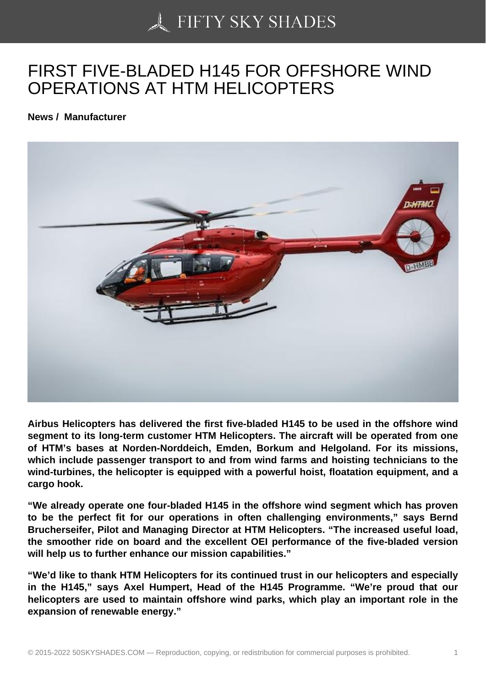## [FIRST FIVE-BLADED](https://50skyshades.com) H145 FOR OFFSHORE WIND OPERATIONS AT HTM HELICOPTERS

News / Manufacturer

Airbus Helicopters has delivered the first five-bladed H145 to be used in the offshore wind segment to its long-term customer HTM Helicopters. The aircraft will be operated from one of HTM's bases at Norden-Norddeich, Emden, Borkum and Helgoland. For its missions, which include passenger transport to and from wind farms and hoisting technicians to the wind-turbines, the helicopter is equipped with a powerful hoist, floatation equipment, and a cargo hook.

"We already operate one four-bladed H145 in the offshore wind segment which has proven to be the perfect fit for our operations in often challenging environments," says Bernd Brucherseifer, Pilot and Managing Director at HTM Helicopters. "The increased useful load, the smoother ride on board and the excellent OEI performance of the five-bladed version will help us to further enhance our mission capabilities."

"We'd like to thank HTM Helicopters for its continued trust in our helicopters and especially in the H145," says Axel Humpert, Head of the H145 Programme. "We're proud that our helicopters are used to maintain offshore wind parks, which play an important role in the expansion of renewable energy."